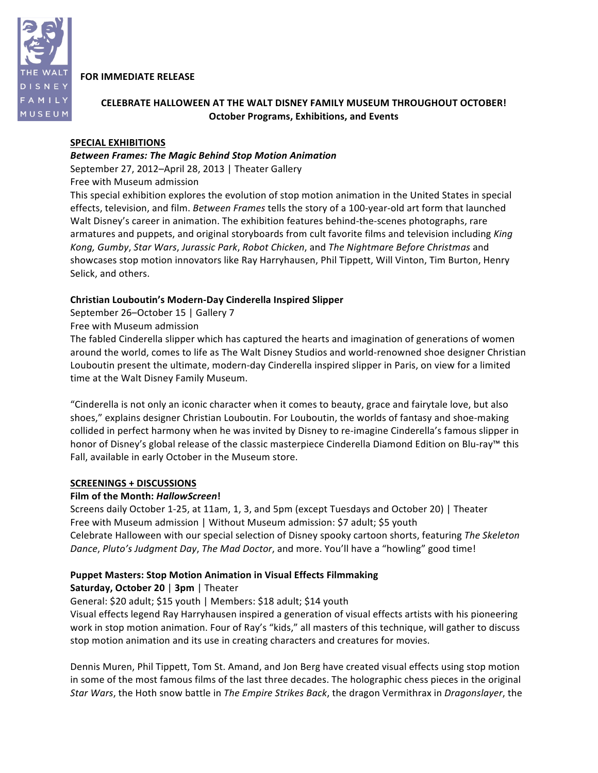

# **FOR IMMEDIATE RELEASE**

# **CELEBRATE HALLOWEEN AT THE WALT DISNEY FAMILY MUSEUM THROUGHOUT OCTOBER! October Programs,\$Exhibitions, and\$Events**

# **SPECIAL EXHIBITIONS**

# *Between!Frames:!The!Magic!Behind Stop!Motion!Animation*

September 27, 2012–April 28, 2013 | Theater Gallery

Free with Museum admission

This special exhibition explores the evolution of stop motion animation in the United States in special effects, television, and film. Between Frames tells the story of a 100-year-old art form that launched Walt Disney's career in animation. The exhibition features behind-the-scenes photographs, rare armatures and puppets, and original storyboards from cult favorite films and television including *King Kong,&Gumby*,(*Star&Wars*, *Jurassic&Park*, *Robot&Chicken*, and *The&Nightmare&Before&Christmas* and( showcases stop motion innovators like Ray Harryhausen, Phil Tippett, Will Vinton, Tim Burton, Henry Selick, and others.

# **Christian Louboutin's Modern-Day Cinderella Inspired Slipper**

September 26–October 15 | Gallery 7

Free with Museum admission

The fabled Cinderella slipper which has captured the hearts and imagination of generations of women around the world, comes to life as The Walt Disney Studios and world-renowned shoe designer Christian Louboutin present the ultimate, modern-day Cinderella inspired slipper in Paris, on view for a limited time at the Walt Disney Family Museum.

"Cinderella is not only an iconic character when it comes to beauty, grace and fairytale love, but also shoes," explains designer Christian Louboutin. For Louboutin, the worlds of fantasy and shoe-making collided in perfect harmony when he was invited by Disney to re-imagine Cinderella's famous slipper in honor of Disney's global release of the classic masterpiece Cinderella Diamond Edition on Blu-ray™ this Fall, available in early October in the Museum store.

## **SCREENINGS + DISCUSSIONS**

## **Film\$of\$the\$Month:** *HallowScreen***!**

Screens daily October 1-25, at 11am, 1, 3, and 5pm (except Tuesdays and October 20) | Theater Free with Museum admission | Without Museum admission: \$7 adult; \$5 youth Celebrate Halloween with our special selection of Disney spooky cartoon shorts, featuring The Skeleton *Dance, Pluto's Judgment Day, The Mad Doctor, and more. You'll have a "howling" good time!* 

# **Puppet Masters: Stop Motion Animation in Visual Effects Filmmaking**

# **Saturday, October 20 | 3pm | Theater**

General: \$20 adult; \$15 youth | Members: \$18 adult; \$14 youth

Visual effects legend Ray Harryhausen inspired a generation of visual effects artists with his pioneering work in stop motion animation. Four of Ray's "kids," all masters of this technique, will gather to discuss stop motion animation and its use in creating characters and creatures for movies.

Dennis Muren, Phil Tippett, Tom St. Amand, and Jon Berg have created visual effects using stop motion in some of the most famous films of the last three decades. The holographic chess pieces in the original *Star Wars*, the Hoth snow battle in *The Empire Strikes Back*, the dragon Vermithrax in *Dragonslayer*, the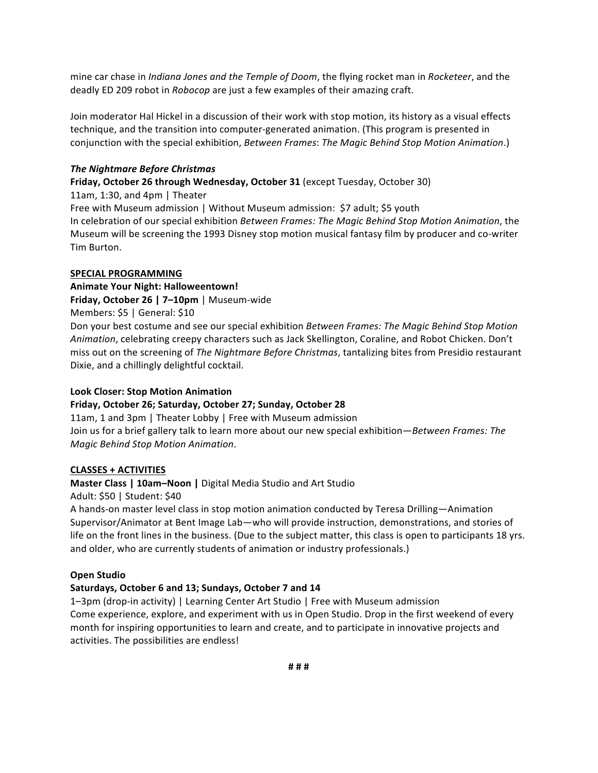mine car chase in *Indiana Jones and the Temple of Doom*, the flying rocket man in *Rocketeer*, and the deadly ED 209 robot in *Robocop* are just a few examples of their amazing craft.

Join moderator Hal Hickel in a discussion of their work with stop motion, its history as a visual effects technique, and the transition into computer-generated animation. (This program is presented in conjunction with the special exhibition, *Between Frames: The Magic Behind Stop Motion Animation*.)

## *The Nightmare Before Christmas*

**Friday, October 26 through Wednesday, October 31** (except Tuesday, October 30)

11am, 1:30, and 4pm  $\vert$  Theater Free with Museum admission | Without Museum admission: \$7 adult; \$5 youth In celebration of our special exhibition *Between Frames: The Magic Behind Stop Motion Animation*, the Museum will be screening the 1993 Disney stop motion musical fantasy film by producer and co-writer Tim Burton.

#### SPECIAL PROGRAMMING

### **Animate Your Night: Halloweentown!**

**Friday, October 26 | 7-10pm** | Museum-wide

### Members: \$5 | General: \$10

Don your best costume and see our special exhibition *Between Frames: The Magic Behind Stop Motion Animation*, celebrating creepy characters such as Jack Skellington, Coraline, and Robot Chicken. Don't miss out on the screening of The Nightmare Before Christmas, tantalizing bites from Presidio restaurant Dixie, and a chillingly delightful cocktail.

#### **Look Closer: Stop Motion Animation**

## **Friday,\$October\$26;\$Saturday,\$October\$27;\$Sunday,\$October\$28**

11am, 1 and 3pm | Theater Lobby | Free with Museum admission Join us for a brief gallery talk to learn more about our new special exhibition—*Between Frames: The Magic&Behind&Stop&Motion&Animation*.(

#### **CLASSES + ACTIVITIES**

## **Master Class | 10am–Noon | Digital Media Studio and Art Studio**

Adult: \$50 | Student: \$40

A hands-on master level class in stop motion animation conducted by Teresa Drilling—Animation Supervisor/Animator at Bent Image Lab—who will provide instruction, demonstrations, and stories of life on the front lines in the business. (Due to the subject matter, this class is open to participants 18 yrs. and older, who are currently students of animation or industry professionals.)

#### **Open Studio**

## **Saturdays,\$October\$6 and\$13;\$Sundays,\$October\$7 and\$14**

1–3pm (drop-in activity) | Learning Center Art Studio | Free with Museum admission Come experience, explore, and experiment with us in Open Studio. Drop in the first weekend of every month for inspiring opportunities to learn and create, and to participate in innovative projects and activities. The possibilities are endless!